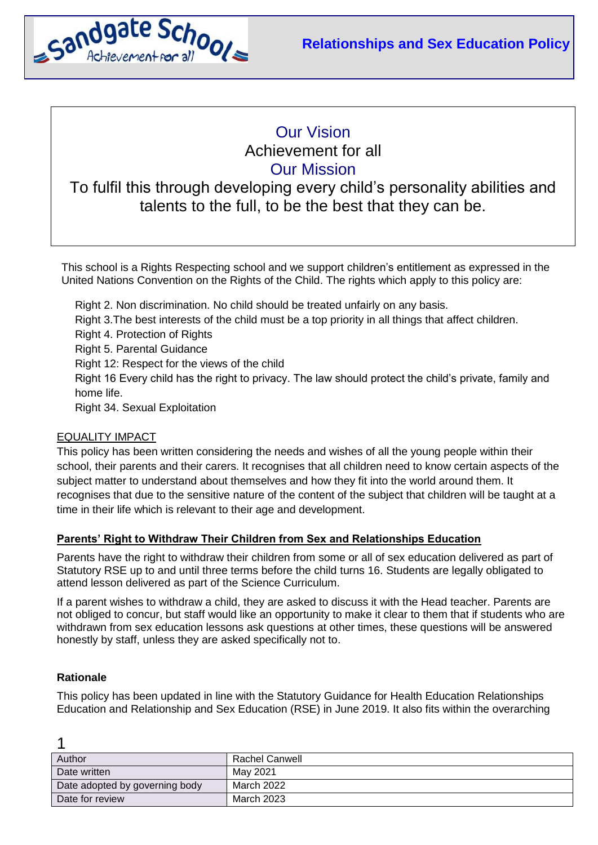

# Our Vision Achievement for all Our Mission

# To fulfil this through developing every child's personality abilities and talents to the full, to be the best that they can be.

This school is a Rights Respecting school and we support children's entitlement as expressed in the United Nations Convention on the Rights of the Child. The rights which apply to this policy are:

Right 2. Non discrimination. No child should be treated unfairly on any basis. Right 3.The best interests of the child must be a top priority in all things that affect children. Right 4. Protection of Rights Right 5. Parental Guidance Right 12: Respect for the views of the child Right 16 Every child has the right to privacy. The law should protect the child's private, family and home life. Right 34. Sexual Exploitation

# EQUALITY IMPACT

This policy has been written considering the needs and wishes of all the young people within their school, their parents and their carers. It recognises that all children need to know certain aspects of the subject matter to understand about themselves and how they fit into the world around them. It recognises that due to the sensitive nature of the content of the subject that children will be taught at a time in their life which is relevant to their age and development.

# **Parents' Right to Withdraw Their Children from Sex and Relationships Education**

Parents have the right to withdraw their children from some or all of sex education delivered as part of Statutory RSE up to and until three terms before the child turns 16. Students are legally obligated to attend lesson delivered as part of the Science Curriculum.

If a parent wishes to withdraw a child, they are asked to discuss it with the Head teacher. Parents are not obliged to concur, but staff would like an opportunity to make it clear to them that if students who are withdrawn from sex education lessons ask questions at other times, these questions will be answered honestly by staff, unless they are asked specifically not to.

# **Rationale**

1

This policy has been updated in line with the Statutory Guidance for Health Education Relationships Education and Relationship and Sex Education (RSE) in June 2019. It also fits within the overarching

| Author                         | Rachel Canwell |
|--------------------------------|----------------|
| Date written                   | May 2021       |
| Date adopted by governing body | March 2022     |
| Date for review                | March 2023     |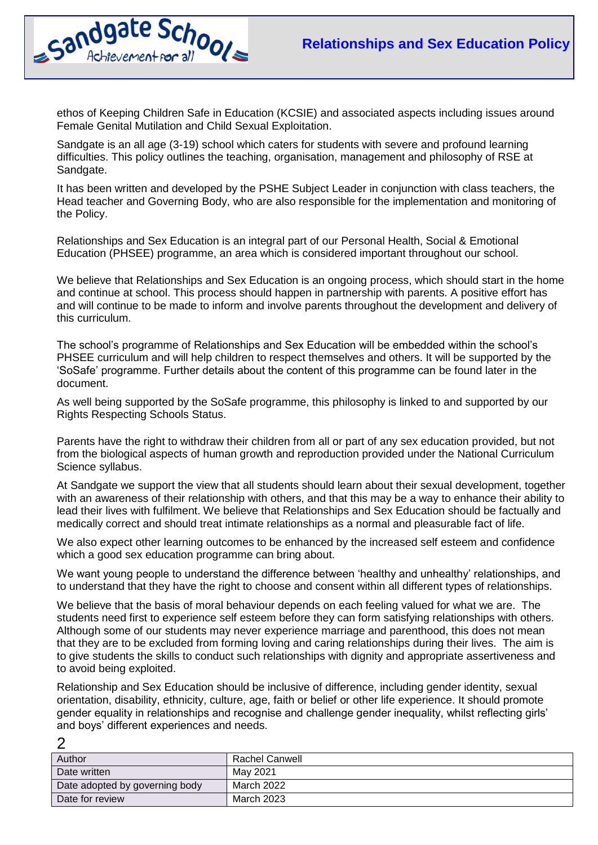

 $\mathcal{D}$ 

ethos of Keeping Children Safe in Education (KCSIE) and associated aspects including issues around Female Genital Mutilation and Child Sexual Exploitation.

Sandgate is an all age (3-19) school which caters for students with severe and profound learning difficulties. This policy outlines the teaching, organisation, management and philosophy of RSE at Sandgate.

It has been written and developed by the PSHE Subject Leader in conjunction with class teachers, the Head teacher and Governing Body, who are also responsible for the implementation and monitoring of the Policy.

Relationships and Sex Education is an integral part of our Personal Health, Social & Emotional Education (PHSEE) programme, an area which is considered important throughout our school.

We believe that Relationships and Sex Education is an ongoing process, which should start in the home and continue at school. This process should happen in partnership with parents. A positive effort has and will continue to be made to inform and involve parents throughout the development and delivery of this curriculum.

The school's programme of Relationships and Sex Education will be embedded within the school's PHSEE curriculum and will help children to respect themselves and others. It will be supported by the 'SoSafe' programme. Further details about the content of this programme can be found later in the document.

As well being supported by the SoSafe programme, this philosophy is linked to and supported by our Rights Respecting Schools Status.

Parents have the right to withdraw their children from all or part of any sex education provided, but not from the biological aspects of human growth and reproduction provided under the National Curriculum Science syllabus.

At Sandgate we support the view that all students should learn about their sexual development, together with an awareness of their relationship with others, and that this may be a way to enhance their ability to lead their lives with fulfilment. We believe that Relationships and Sex Education should be factually and medically correct and should treat intimate relationships as a normal and pleasurable fact of life.

We also expect other learning outcomes to be enhanced by the increased self esteem and confidence which a good sex education programme can bring about.

We want young people to understand the difference between 'healthy and unhealthy' relationships, and to understand that they have the right to choose and consent within all different types of relationships.

We believe that the basis of moral behaviour depends on each feeling valued for what we are. The students need first to experience self esteem before they can form satisfying relationships with others. Although some of our students may never experience marriage and parenthood, this does not mean that they are to be excluded from forming loving and caring relationships during their lives. The aim is to give students the skills to conduct such relationships with dignity and appropriate assertiveness and to avoid being exploited.

Relationship and Sex Education should be inclusive of difference, including gender identity, sexual orientation, disability, ethnicity, culture, age, faith or belief or other life experience. It should promote gender equality in relationships and recognise and challenge gender inequality, whilst reflecting girls' and boys' different experiences and needs.

| Author                         | Rachel Canwell |
|--------------------------------|----------------|
| Date written                   | May 2021       |
| Date adopted by governing body | March 2022     |
| Date for review                | March 2023     |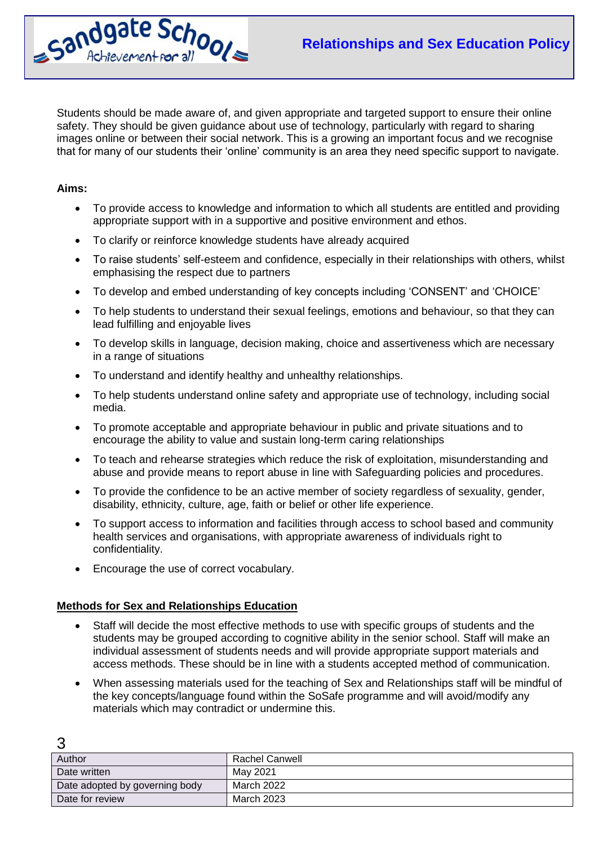

Students should be made aware of, and given appropriate and targeted support to ensure their online safety. They should be given guidance about use of technology, particularly with regard to sharing images online or between their social network. This is a growing an important focus and we recognise that for many of our students their 'online' community is an area they need specific support to navigate.

# **Aims:**

 $\mathbf 2$ 

- To provide access to knowledge and information to which all students are entitled and providing appropriate support with in a supportive and positive environment and ethos.
- To clarify or reinforce knowledge students have already acquired
- To raise students' self-esteem and confidence, especially in their relationships with others, whilst emphasising the respect due to partners
- To develop and embed understanding of key concepts including 'CONSENT' and 'CHOICE'
- To help students to understand their sexual feelings, emotions and behaviour, so that they can lead fulfilling and enjoyable lives
- To develop skills in language, decision making, choice and assertiveness which are necessary in a range of situations
- To understand and identify healthy and unhealthy relationships.
- To help students understand online safety and appropriate use of technology, including social media.
- To promote acceptable and appropriate behaviour in public and private situations and to encourage the ability to value and sustain long-term caring relationships
- To teach and rehearse strategies which reduce the risk of exploitation, misunderstanding and abuse and provide means to report abuse in line with Safeguarding policies and procedures.
- To provide the confidence to be an active member of society regardless of sexuality, gender, disability, ethnicity, culture, age, faith or belief or other life experience.
- To support access to information and facilities through access to school based and community health services and organisations, with appropriate awareness of individuals right to confidentiality.
- Encourage the use of correct vocabulary.

# **Methods for Sex and Relationships Education**

- Staff will decide the most effective methods to use with specific groups of students and the students may be grouped according to cognitive ability in the senior school. Staff will make an individual assessment of students needs and will provide appropriate support materials and access methods. These should be in line with a students accepted method of communication.
- When assessing materials used for the teaching of Sex and Relationships staff will be mindful of the key concepts/language found within the SoSafe programme and will avoid/modify any materials which may contradict or undermine this.

| Author                         | Rachel Canwell |
|--------------------------------|----------------|
| Date written                   | May 2021       |
| Date adopted by governing body | March 2022     |
| Date for review                | March 2023     |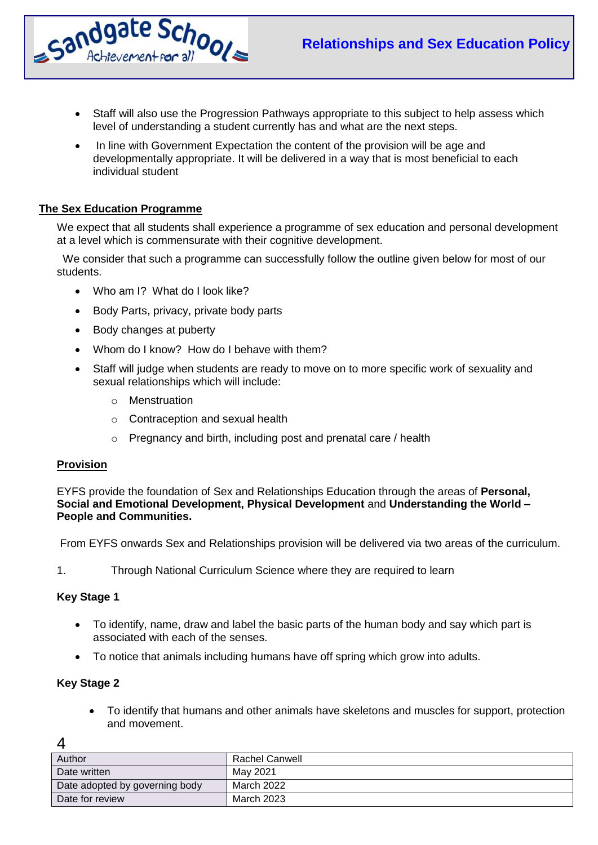

- Staff will also use the Progression Pathways appropriate to this subject to help assess which level of understanding a student currently has and what are the next steps.
- In line with Government Expectation the content of the provision will be age and developmentally appropriate. It will be delivered in a way that is most beneficial to each individual student

# **The Sex Education Programme**

We expect that all students shall experience a programme of sex education and personal development at a level which is commensurate with their cognitive development.

 We consider that such a programme can successfully follow the outline given below for most of our students.

- Who am I? What do I look like?
- Body Parts, privacy, private body parts
- Body changes at puberty
- Whom do I know? How do I behave with them?
- Staff will judge when students are ready to move on to more specific work of sexuality and sexual relationships which will include:
	- o Menstruation
	- o Contraception and sexual health
	- o Pregnancy and birth, including post and prenatal care / health

# **Provision**

EYFS provide the foundation of Sex and Relationships Education through the areas of **Personal, Social and Emotional Development, Physical Development** and **Understanding the World – People and Communities.**

From EYFS onwards Sex and Relationships provision will be delivered via two areas of the curriculum.

1. Through National Curriculum Science where they are required to learn

# **Key Stage 1**

- To identify, name, draw and label the basic parts of the human body and say which part is associated with each of the senses.
- To notice that animals including humans have off spring which grow into adults.

# **Key Stage 2**

 To identify that humans and other animals have skeletons and muscles for support, protection and movement.

| Author                         | Rachel Canwell |
|--------------------------------|----------------|
| Date written                   | May 2021       |
| Date adopted by governing body | March 2022     |
| Date for review                | March 2023     |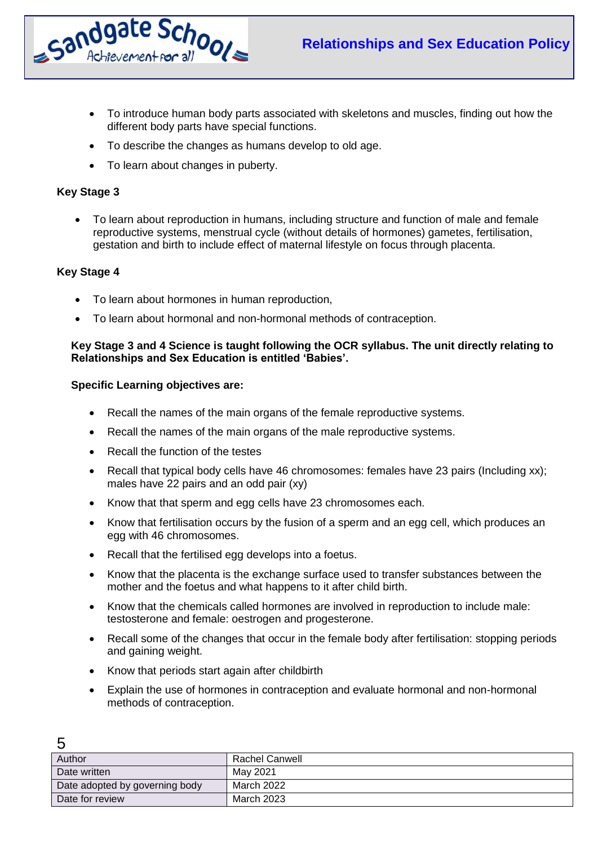

- To introduce human body parts associated with skeletons and muscles, finding out how the different body parts have special functions.
- To describe the changes as humans develop to old age.
- To learn about changes in puberty.

# **Key Stage 3**

 To learn about reproduction in humans, including structure and function of male and female reproductive systems, menstrual cycle (without details of hormones) gametes, fertilisation, gestation and birth to include effect of maternal lifestyle on focus through placenta.

# **Key Stage 4**

 $\sqrt{2}$ 

- To learn about hormones in human reproduction,
- To learn about hormonal and non-hormonal methods of contraception.

### **Key Stage 3 and 4 Science is taught following the OCR syllabus. The unit directly relating to Relationships and Sex Education is entitled 'Babies'.**

#### **Specific Learning objectives are:**

- Recall the names of the main organs of the female reproductive systems.
- Recall the names of the main organs of the male reproductive systems.
- Recall the function of the testes
- Recall that typical body cells have 46 chromosomes: females have 23 pairs (Including xx); males have 22 pairs and an odd pair (xy)
- Know that that sperm and egg cells have 23 chromosomes each.
- Know that fertilisation occurs by the fusion of a sperm and an egg cell, which produces an egg with 46 chromosomes.
- Recall that the fertilised egg develops into a foetus.
- Know that the placenta is the exchange surface used to transfer substances between the mother and the foetus and what happens to it after child birth.
- Know that the chemicals called hormones are involved in reproduction to include male: testosterone and female: oestrogen and progesterone.
- Recall some of the changes that occur in the female body after fertilisation: stopping periods and gaining weight.
- Know that periods start again after childbirth
- Explain the use of hormones in contraception and evaluate hormonal and non-hormonal methods of contraception.

| Author                         | Rachel Canwell |
|--------------------------------|----------------|
| Date written                   | May 2021       |
| Date adopted by governing body | March 2022     |
| Date for review                | March 2023     |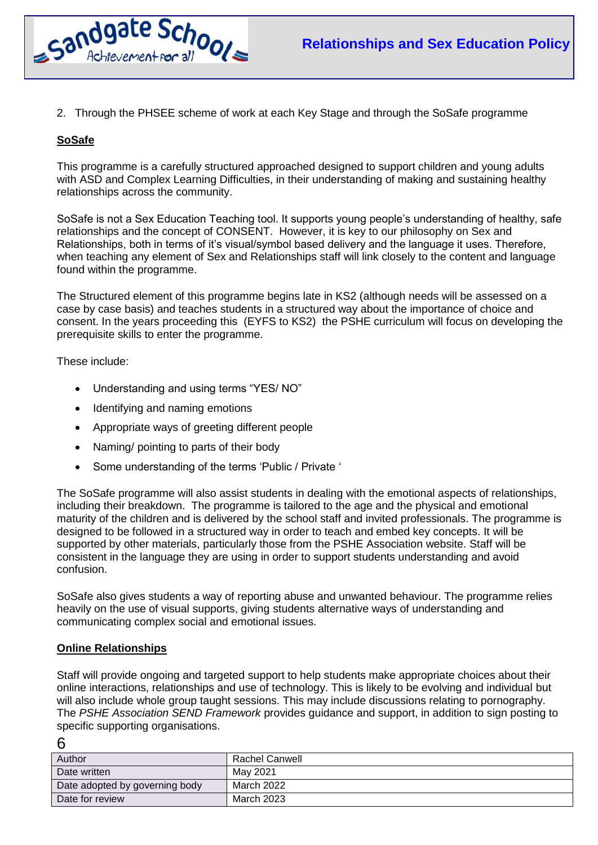

2. Through the PHSEE scheme of work at each Key Stage and through the SoSafe programme

# **SoSafe**

This programme is a carefully structured approached designed to support children and young adults with ASD and Complex Learning Difficulties, in their understanding of making and sustaining healthy relationships across the community.

SoSafe is not a Sex Education Teaching tool. It supports young people's understanding of healthy, safe relationships and the concept of CONSENT. However, it is key to our philosophy on Sex and Relationships, both in terms of it's visual/symbol based delivery and the language it uses. Therefore, when teaching any element of Sex and Relationships staff will link closely to the content and language found within the programme.

The Structured element of this programme begins late in KS2 (although needs will be assessed on a case by case basis) and teaches students in a structured way about the importance of choice and consent. In the years proceeding this (EYFS to KS2) the PSHE curriculum will focus on developing the prerequisite skills to enter the programme.

These include:

- Understanding and using terms "YES/ NO"
- Identifying and naming emotions
- Appropriate ways of greeting different people
- Naming/ pointing to parts of their body
- Some understanding of the terms 'Public / Private '

The SoSafe programme will also assist students in dealing with the emotional aspects of relationships, including their breakdown. The programme is tailored to the age and the physical and emotional maturity of the children and is delivered by the school staff and invited professionals. The programme is designed to be followed in a structured way in order to teach and embed key concepts. It will be supported by other materials, particularly those from the PSHE Association website. Staff will be consistent in the language they are using in order to support students understanding and avoid confusion.

SoSafe also gives students a way of reporting abuse and unwanted behaviour. The programme relies heavily on the use of visual supports, giving students alternative ways of understanding and communicating complex social and emotional issues.

# **Online Relationships**

Staff will provide ongoing and targeted support to help students make appropriate choices about their online interactions, relationships and use of technology. This is likely to be evolving and individual but will also include whole group taught sessions. This may include discussions relating to pornography. The *PSHE Association SEND Framework* provides guidance and support, in addition to sign posting to specific supporting organisations.

|         | ۰<br>. .          |
|---------|-------------------|
| ×<br>M. | I<br>٦<br>٠<br>۰. |

| Author                         | <b>Rachel Canwell</b> |
|--------------------------------|-----------------------|
| Date written                   | May 2021              |
| Date adopted by governing body | March 2022            |
| Date for review                | March 2023            |